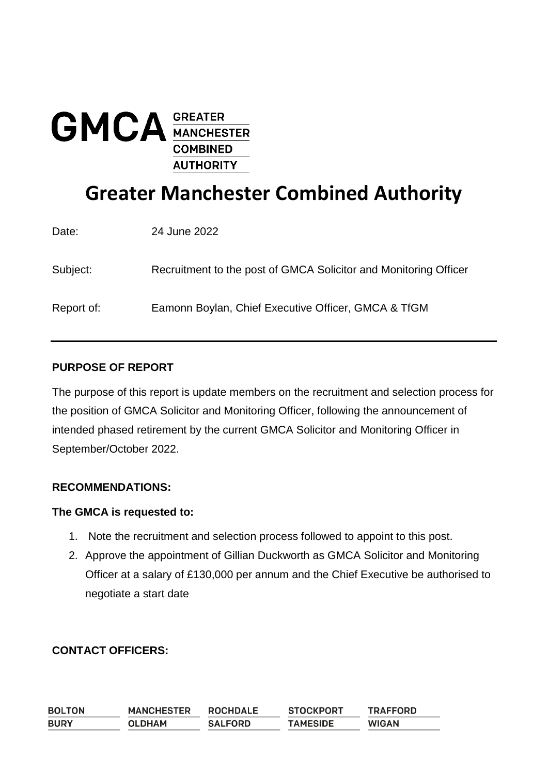

# **Greater Manchester Combined Authority**

| Date:      | 24 June 2022                                                     |
|------------|------------------------------------------------------------------|
| Subject:   | Recruitment to the post of GMCA Solicitor and Monitoring Officer |
| Report of: | Eamonn Boylan, Chief Executive Officer, GMCA & TfGM              |

## **PURPOSE OF REPORT**

The purpose of this report is update members on the recruitment and selection process for the position of GMCA Solicitor and Monitoring Officer, following the announcement of intended phased retirement by the current GMCA Solicitor and Monitoring Officer in September/October 2022.

#### **RECOMMENDATIONS:**

#### **The GMCA is requested to:**

- 1. Note the recruitment and selection process followed to appoint to this post.
- 2. Approve the appointment of Gillian Duckworth as GMCA Solicitor and Monitoring Officer at a salary of £130,000 per annum and the Chief Executive be authorised to negotiate a start date

## **CONTACT OFFICERS:**

| <b>BOLTON</b> | <b>MANCHESTER</b> | <b>ROCHDALE</b> | <b>STOCKPORT</b> | <b>TRAFFORD</b> |
|---------------|-------------------|-----------------|------------------|-----------------|
| <b>BURY</b>   | <b>OLDHAM</b>     | <b>SALFORD</b>  | <b>TAMESIDE</b>  | <b>WIGAN</b>    |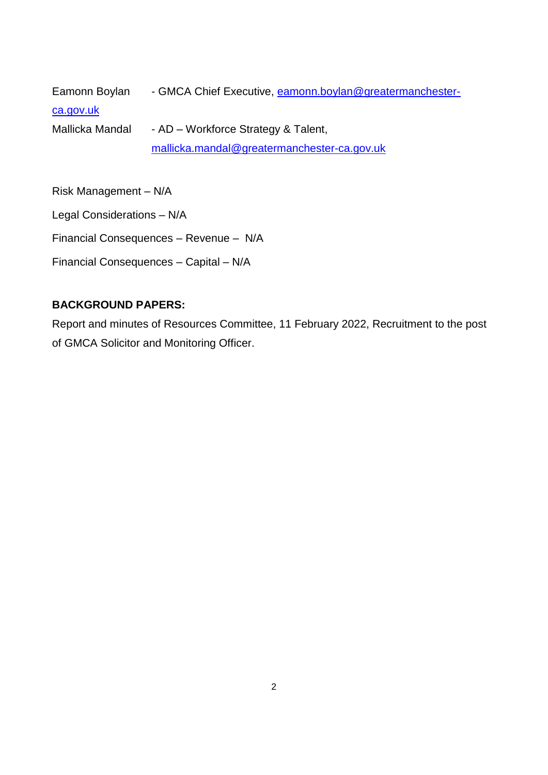Eamonn Boylan - GMCA Chief Executive, [eamonn.boylan@greatermanchester](mailto:eamonn.boylan@greatermanchester-ca.gov.uk)[ca.gov.uk](mailto:eamonn.boylan@greatermanchester-ca.gov.uk) Mallicka Mandal - AD – Workforce Strategy & Talent, [mallicka.mandal@greatermanchester-ca.gov.uk](mailto:mallicka.mandal@greatermanchester-ca.gov.uk)

Risk Management – N/A

Legal Considerations – N/A

Financial Consequences – Revenue – N/A

Financial Consequences – Capital – N/A

#### **BACKGROUND PAPERS:**

Report and minutes of Resources Committee, 11 February 2022, Recruitment to the post of GMCA Solicitor and Monitoring Officer.